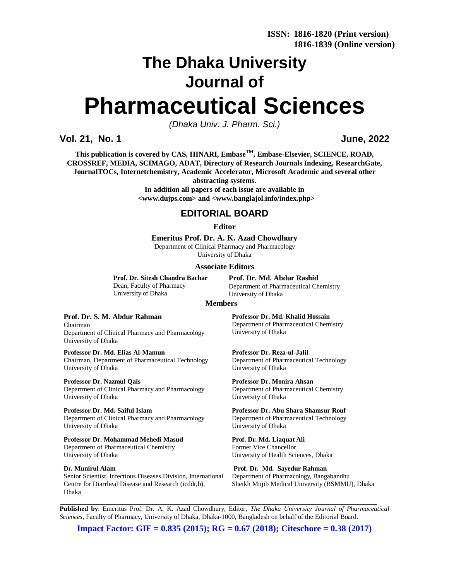# **The Dhaka University Journal of Pharmaceutical Sciences**

*(Dhaka Univ. J. Pharm. Sci.)*

**Vol. 21, No. 1 June, 2022**

**This publication is covered by CAS, HINARI, EmbaseTM, Embase-Elsevier, SCIENCE, ROAD, CROSSREF, MEDIA, SCIMAGO, ADAT, Directory of Research Journals Indexing, ResearchGate, JournalTOCs, Internetchemistry, Academic Accelerator, Microsoft Academic and several other** 

**abstracting systems.**

**In addition all papers of each issue are available in <[www.dujps.com>](http://www.dujps.com) and <[www.banglajol.info/index.php>](http://www.banglajol.info/index.php)**

## **EDITORIAL BOARD**

#### **Editor**

**Emeritus Prof. Dr. A. K. Azad Chowdhury**

Department of Clinical Pharmacy and Pharmacology University of Dhaka

#### **Associate Editors**

**Prof. Dr. Sitesh Chandra Bachar** Dean, Faculty of Pharmacy University of Dhaka

**Prof. Dr. Md. Abdur Rashid** Department of Pharmaceutical Chemistry University of Dhaka

#### **Members**

**Prof. Dr. S. M. Abdur Rahman**

Chairman Department of Clinical Pharmacy and Pharmacology University of Dhaka

**Professor Dr. Md. Elias Al-Mamun** Chairman, Department of Pharmaceutical Technology University of Dhaka

**Professor Dr. Nazmul Qais** Department of Clinical Pharmacy and Pharmacology University of Dhaka

**Professor Dr. Md. Saiful Islam** Department of Clinical Pharmacy and Pharmacology University of Dhaka

**Professor Dr. Mohammad Mehedi Masud** Department of Pharmaceutical Chemistry University of Dhaka

**Dr. Munirul Alam** Senior Scientist, Infectious Diseases Division, International Centre for Diarrheal Disease and Research (icddr,b), Dhaka

**Professor Dr. Md. Khalid Hossain** Department of Pharmaceutical Chemistry University of Dhaka

**Professor Dr. Reza-ul-Jalil** Department of Pharmaceutical Technology University of Dhaka

**Professor Dr. Monira Ahsan** Department of Pharmaceutical Chemistry University of Dhaka

**Professor Dr. Abu Shara Shamsur Rouf** Department of Pharmaceutical Technology University of Dhaka

**Prof. Dr. Md. Liaquat Ali** Former Vice Chancellor University of Health Sciences, Dhaka

**Prof. Dr. Md. Sayedur Rahman** Department of Pharmacology, Bangabandhu Sheikh Mujib Medical University (BSMMU), Dhaka

**Published by**: Emeritus Prof. Dr. A. K. Azad Chowdhury, Editor, *The Dhaka University Journal of Pharmaceutical Sciences*, Faculty of Pharmacy, University of Dhaka, Dhaka-1000, Bangladesh on behalf of the Editorial Board.

**Impact Factor: GIF = 0.835 (2015); RG = 0.67 (2018); Citeschore = 0.38 (2017)**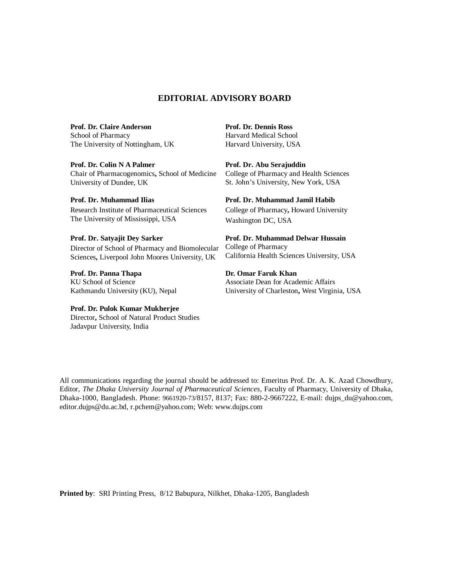## **EDITORIAL ADVISORY BOARD**

**Prof. Dr. Claire Anderson** School of Pharmacy The University of Nottingham, UK

**Prof. Dr. Colin N A Palmer** Chair of Pharmacogenomics**,** School of Medicine University of Dundee, UK

**Prof. Dr. Muhammad Ilias** Research Institute of Pharmaceutical Sciences The University of Mississippi, USA

#### **Prof. Dr. Satyajit Dey Sarker**

Director of School of Pharmacy and Biomolecular Sciences**,** Liverpool John Moores University, UK

**Prof. Dr. Panna Thapa**

KU School of Science Kathmandu University (KU), Nepal

#### **Prof. Dr. Pulok Kumar Mukherjee**

Director**,** School of Natural Product Studies Jadavpur University, India

**Prof. Dr. Dennis Ross** Harvard Medical School Harvard University, USA

**Prof. Dr. Abu Serajuddin**  College of Pharmacy and Health Sciences St. John's University, New York, USA

#### **Prof. Dr. Muhammad Jamil Habib**

College of Pharmacy**,** Howard University Washington DC, USA

**Prof. Dr. Muhammad Delwar Hussain** College of Pharmacy California Health Sciences University, USA

**Dr. Omar Faruk Khan** Associate Dean for Academic Affairs University of Charleston**,** West Virginia, USA

All communications regarding the journal should be addressed to: Emeritus Prof. Dr. A. K. Azad Chowdhury, Editor, *The Dhaka University Journal of Pharmaceutical Sciences*, Faculty of Pharmacy, University of Dhaka, Dhaka-1000, Bangladesh. Phone: 9661920-73/8157, 8137; Fax: 880-2-9667222, E-mail: [dujps\\_du@yahoo.com,](mailto:dujps_du@yahoo.com,) [editor.dujps@du.ac.bd,](mailto:editor.dujps@du.ac.bd,) [r.pchem@yahoo.com;](mailto:r.pchem@yahoo.com;) Web: [www.dujps.com](http://www.dujps.com)

**Printed by**: SRI Printing Press, 8/12 Babupura, Nilkhet, Dhaka-1205, Bangladesh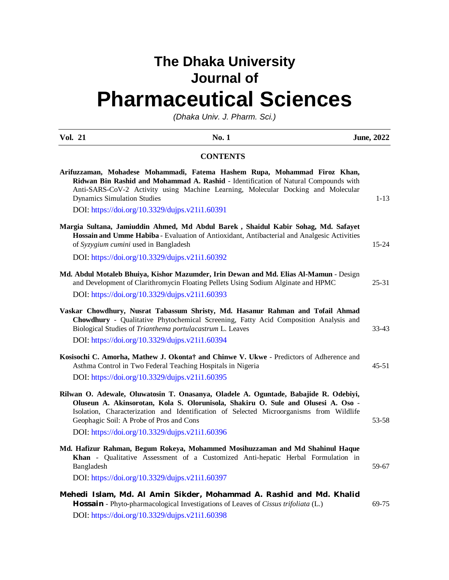## **The Dhaka University Journal of Pharmaceutical Sciences**

*(Dhaka Univ. J. Pharm. Sci.)*

| <b>Vol. 21</b>                                                                                                                                         | No. 1                                                                                                                                                                        | <b>June, 2022</b> |
|--------------------------------------------------------------------------------------------------------------------------------------------------------|------------------------------------------------------------------------------------------------------------------------------------------------------------------------------|-------------------|
|                                                                                                                                                        | <b>CONTENTS</b>                                                                                                                                                              |                   |
| Arifuzzaman, Mohadese Mohammadi, Fatema Hashem Rupa, Mohammad Firoz Khan,<br><b>Dynamics Simulation Studies</b>                                        | Ridwan Bin Rashid and Mohammad A. Rashid - Identification of Natural Compounds with<br>Anti-SARS-CoV-2 Activity using Machine Learning, Molecular Docking and Molecular      | $1 - 13$          |
| DOI: https://doi.org/10.3329/dujps.v21i1.60391                                                                                                         |                                                                                                                                                                              |                   |
| Margia Sultana, Jamiuddin Ahmed, Md Abdul Barek, Shaidul Kabir Sohag, Md. Safayet<br>of Syzygium cumini used in Bangladesh                             | Hossain and Umme Habiba - Evaluation of Antioxidant, Antibacterial and Analgesic Activities                                                                                  | $15 - 24$         |
| DOI: https://doi.org/10.3329/dujps.v21i1.60392                                                                                                         |                                                                                                                                                                              |                   |
| Md. Abdul Motaleb Bhuiya, Kishor Mazumder, Irin Dewan and Md. Elias Al-Mamun - Design                                                                  | and Development of Clarithromycin Floating Pellets Using Sodium Alginate and HPMC                                                                                            | $25 - 31$         |
| DOI: https://doi.org/10.3329/dujps.v21i1.60393                                                                                                         |                                                                                                                                                                              |                   |
| Vaskar Chowdhury, Nusrat Tabassum Shristy, Md. Hasanur Rahman and Tofail Ahmad<br>Biological Studies of Trianthema portulacastrum L. Leaves            | Chowdhury - Qualitative Phytochemical Screening, Fatty Acid Composition Analysis and                                                                                         | 33-43             |
| DOI: https://doi.org/10.3329/dujps.v21i1.60394                                                                                                         |                                                                                                                                                                              |                   |
| Kosisochi C. Amorha, Mathew J. Okonta† and Chinwe V. Ukwe - Predictors of Adherence and<br>Asthma Control in Two Federal Teaching Hospitals in Nigeria |                                                                                                                                                                              | $45 - 51$         |
| DOI: https://doi.org/10.3329/dujps.v21i1.60395                                                                                                         |                                                                                                                                                                              |                   |
| Rilwan O. Adewale, Oluwatosin T. Onasanya, Oladele A. Oguntade, Babajide R. Odebiyi,<br>Geophagic Soil: A Probe of Pros and Cons                       | Oluseun A. Akinsorotan, Kola S. Olorunisola, Shakiru O. Sule and Olusesi A. Oso -<br>Isolation, Characterization and Identification of Selected Microorganisms from Wildlife | 53-58             |
| DOI: https://doi.org/10.3329/dujps.v21i1.60396                                                                                                         |                                                                                                                                                                              |                   |
| Md. Hafizur Rahman, Begum Rokeya, Mohammed Mosihuzzaman and Md Shahinul Haque<br>Bangladesh                                                            | Khan - Qualitative Assessment of a Customized Anti-hepatic Herbal Formulation in                                                                                             | 59-67             |
| DOI: https://doi.org/10.3329/dujps.v21i1.60397                                                                                                         |                                                                                                                                                                              |                   |
| Mehedi Islam, Md. Al Amin Sikder, Mohammad A. Rashid and Md. Khalid<br>DOI: https://doi.org/10.3329/dujps.v21i1.60398                                  | Hossain - Phyto-pharmacological Investigations of Leaves of Cissus trifoliata (L.)                                                                                           | 69-75             |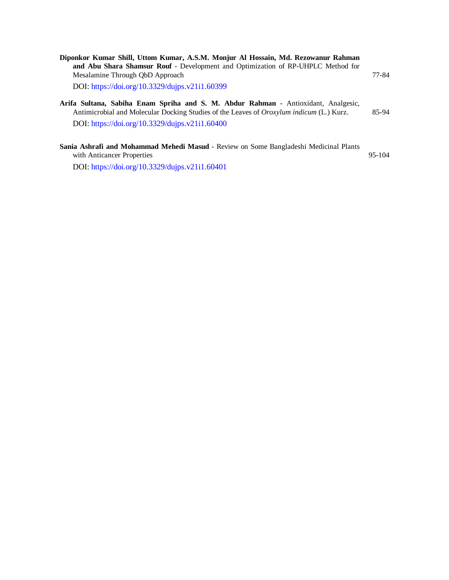| Diponkor Kumar Shill, Uttom Kumar, A.S.M. Monjur Al Hossain, Md. Rezowanur Rahman<br>and Abu Shara Shamsur Rouf - Development and Optimization of RP-UHPLC Method for                                                                   |       |
|-----------------------------------------------------------------------------------------------------------------------------------------------------------------------------------------------------------------------------------------|-------|
| Mesalamine Through ObD Approach                                                                                                                                                                                                         | 77-84 |
| DOI: https://doi.org/10.3329/dujps.v21i1.60399                                                                                                                                                                                          |       |
| Arifa Sultana, Sabiha Enam Spriha and S. M. Abdur Rahman - Antioxidant, Analgesic,<br>Antimicrobial and Molecular Docking Studies of the Leaves of <i>Oroxylum indicum</i> (L.) Kurz.<br>DOI: https://doi.org/10.3329/dujps.v21i1.60400 | 85-94 |
| Sania Ashrafi and Mohammad Mehedi Masud - Review on Some Bangladeshi Medicinal Plants                                                                                                                                                   |       |

with Anticancer Properties 95-104

DOI: <https://doi.org/10.3329/dujps.v21i1.60401>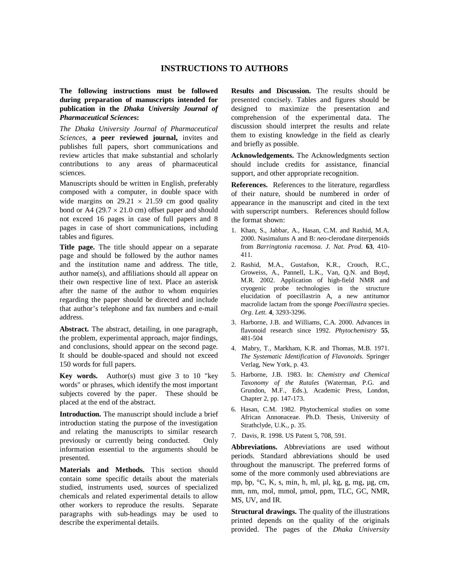### **INSTRUCTIONS TO AUTHORS**

**The following instructions must be followed during preparation of manuscripts intended for publication in the** *Dhaka University Journal of Pharmaceutical Science***s:**

*The Dhaka University Journal of Pharmaceutical Sciences*, **a peer reviewed journal,** invites and publishes full papers, short communications and review articles that make substantial and scholarly contributions to any areas of pharmaceutical sciences.

Manuscripts should be written in English, preferably composed with a computer, in double space with wide margins on  $29.21 \times 21.59$  cm good quality bond or A4 (29.7  $\times$  21.0 cm) offset paper and should not exceed 16 pages in case of full papers and 8 pages in case of short communications, including tables and figures.

**Title page.** The title should appear on a separate page and should be followed by the author names and the institution name and address. The title, author name(s), and affiliations should all appear on their own respective line of text. Place an asterisk after the name of the author to whom enquiries regarding the paper should be directed and include that author's telephone and fax numbers and e-mail address.

**Abstract.** The abstract, detailing, in one paragraph, the problem, experimental approach, major findings, and conclusions, should appear on the second page. It should be double-spaced and should not exceed 150 words for full papers.

**Key words.** Author(s) must give 3 to 10 "key words" or phrases, which identify the most important subjects covered by the paper. These should be placed at the end of the abstract.

**Introduction.** The manuscript should include a brief introduction stating the purpose of the investigation and relating the manuscripts to similar research previously or currently being conducted. Only information essential to the arguments should be presented.

**Materials and Methods.** This section should contain some specific details about the materials studied, instruments used, sources of specialized chemicals and related experimental details to allow other workers to reproduce the results. Separate paragraphs with sub-headings may be used to describe the experimental details.

**Results and Discussion.** The results should be presented concisely. Tables and figures should be designed to maximize the presentation and comprehension of the experimental data. The discussion should interpret the results and relate them to existing knowledge in the field as clearly and briefly as possible.

**Acknowledgements.** The Acknowledgments section should include credits for assistance, financial support, and other appropriate recognition.

**References.** References to the literature, regardless of their nature, should be numbered in order of appearance in the manuscript and cited in the text with superscript numbers. References should follow the format shown:

- 1. Khan, S., Jabbar, A., Hasan, C.M. and Rashid, M.A. 2000. Nasimaluns A and B: *neo*-clerodane diterpenoids from *Barringtonia racemosa. J. Nat. Prod.* **63**, 410- 411.
- 2. Rashid, M.A., Gustafson, K.R., Crouch, R.C., Groweiss, A., Pannell, L.K., Van, Q.N. and Boyd, M.R. 2002. Application of high-field NMR and cryogenic probe technologies in the structure elucidation of poecillastrin A, a new antitumor macrolide lactam from the sponge *Poecillastra* species. *Org. Lett.* **4**, 3293-3296.
- 3. Harborne, J.B. and Williams, C.A. 2000. Advances in flavonoid research since 1992. *Phytochemistry* **55**, 481-504
- 4. Mabry, T., Markham, K.R. and Thomas, M.B. 1971. *The Systematic Identification of Flavonoids.* Springer Verlag, New York, p. 43.
- 5. Harborne, J.B. 1983. In: *Chemistry and Chemical Taxonomy of the Rutales* (Waterman, P.G. and Grundon, M.F., Eds.), Academic Press, London, Chapter 2, pp. 147-173.
- 6. Hasan, C.M. 1982. Phytochemical studies on some African Annonaceae. Ph.D. Thesis, University of Strathclyde, U.K., p. 35.
- 7. Davis, R. 1998. US Patent 5, 708, 591.

**Abbreviations.** Abbreviations are used without periods. Standard abbreviations should be used throughout the manuscript. The preferred forms of some of the more commonly used abbreviations are mp, bp, °C, K, s, min, h, ml, µl, kg, g, mg, µg, cm, mm, nm, mol, mmol, µmol, ppm, TLC, GC, NMR, MS, UV, and IR.

**Structural drawings.** The quality of the illustrations printed depends on the quality of the originals provided. The pages of the *Dhaka University*